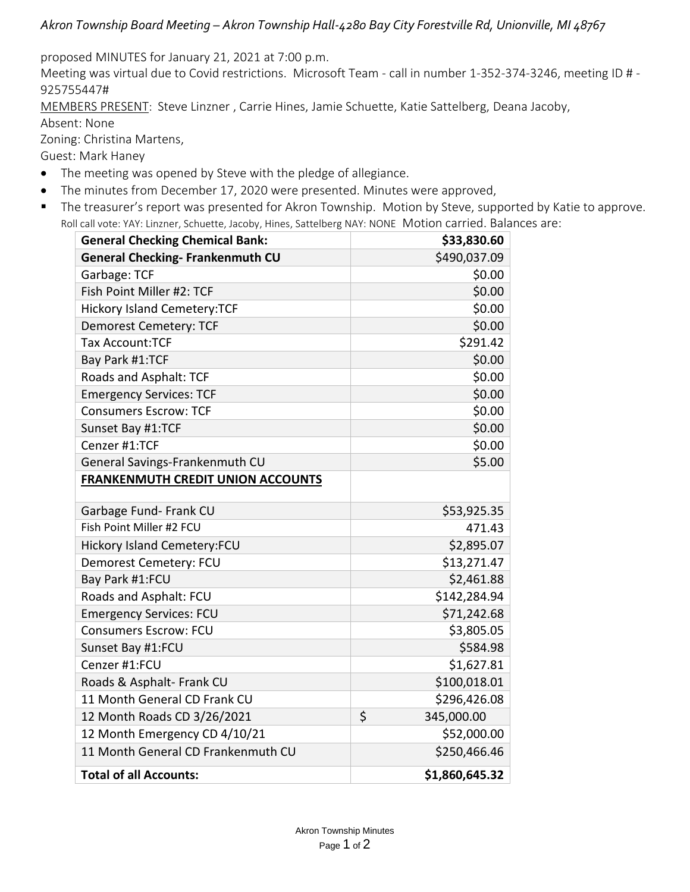## *Akron Township Board Meeting – Akron Township Hall-4280 Bay City Forestville Rd, Unionville, MI 48767*

proposed MINUTES for January 21, 2021 at 7:00 p.m.

Meeting was virtual due to Covid restrictions. Microsoft Team - call in number 1-352-374-3246, meeting ID # - 925755447#

MEMBERS PRESENT: Steve Linzner , Carrie Hines, Jamie Schuette, Katie Sattelberg, Deana Jacoby,

Absent: None

Zoning: Christina Martens,

Guest: Mark Haney

- The meeting was opened by Steve with the pledge of allegiance.
- The minutes from December 17, 2020 were presented. Minutes were approved,
- The treasurer's report was presented for Akron Township. Motion by Steve, supported by Katie to approve. Roll call vote: YAY: Linzner, Schuette, Jacoby, Hines, Sattelberg NAY: NONE Motion carried. Balances are:

| <b>General Checking Chemical Bank:</b>   | \$33,830.60      |
|------------------------------------------|------------------|
| <b>General Checking- Frankenmuth CU</b>  | \$490,037.09     |
| Garbage: TCF                             | \$0.00           |
| Fish Point Miller #2: TCF                | \$0.00           |
| <b>Hickory Island Cemetery:TCF</b>       | \$0.00           |
| <b>Demorest Cemetery: TCF</b>            | \$0.00           |
| <b>Tax Account:TCF</b>                   | \$291.42         |
| Bay Park #1:TCF                          | \$0.00           |
| Roads and Asphalt: TCF                   | \$0.00           |
| <b>Emergency Services: TCF</b>           | \$0.00           |
| <b>Consumers Escrow: TCF</b>             | \$0.00           |
| Sunset Bay #1:TCF                        | \$0.00           |
| Cenzer #1:TCF                            | \$0.00           |
| General Savings-Frankenmuth CU           | \$5.00           |
| <b>FRANKENMUTH CREDIT UNION ACCOUNTS</b> |                  |
|                                          |                  |
| Garbage Fund- Frank CU                   | \$53,925.35      |
| Fish Point Miller #2 FCU                 | 471.43           |
| Hickory Island Cemetery:FCU              | \$2,895.07       |
| Demorest Cemetery: FCU                   | \$13,271.47      |
| Bay Park #1:FCU                          | \$2,461.88       |
| Roads and Asphalt: FCU                   | \$142,284.94     |
| <b>Emergency Services: FCU</b>           | \$71,242.68      |
| <b>Consumers Escrow: FCU</b>             | \$3,805.05       |
| Sunset Bay #1:FCU                        | \$584.98         |
| Cenzer #1:FCU                            | \$1,627.81       |
| Roads & Asphalt- Frank CU                | \$100,018.01     |
| 11 Month General CD Frank CU             | \$296,426.08     |
| 12 Month Roads CD 3/26/2021              | \$<br>345,000.00 |
| 12 Month Emergency CD 4/10/21            | \$52,000.00      |
| 11 Month General CD Frankenmuth CU       | \$250,466.46     |
| <b>Total of all Accounts:</b>            | \$1,860,645.32   |